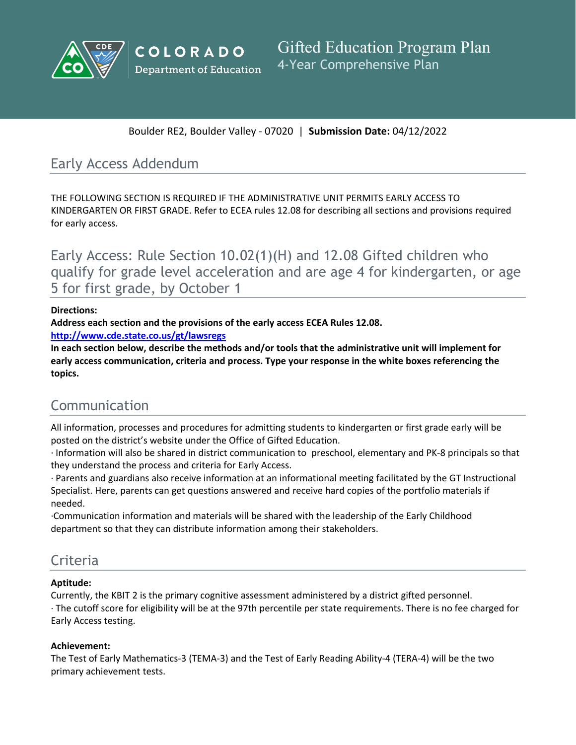



Boulder RE2, Boulder Valley - 07020 | **Submission Date:** 04/12/2022

# Early Access Addendum

THE FOLLOWING SECTION IS REQUIRED IF THE ADMINISTRATIVE UNIT PERMITS EARLY ACCESS TO KINDERGARTEN OR FIRST GRADE. Refer to ECEA rules 12.08 for describing all sections and provisions required for early access.

Early Access: Rule Section 10.02(1)(H) and 12.08 Gifted children who qualify for grade level acceleration and are age 4 for kindergarten, or age 5 for first grade, by October 1

## **Directions:**

**Address each section and the provisions of the early access ECEA Rules 12.08.**

**<http://www.cde.state.co.us/gt/lawsregs>**

**In each section below, describe the methods and/or tools that the administrative unit will implement for early access communication, criteria and process. Type your response in the white boxes referencing the topics.**

# Communication

All information, processes and procedures for admitting students to kindergarten or first grade early will be posted on the district's website under the Office of Gifted Education.

· Information will also be shared in district communication to preschool, elementary and PK-8 principals so that they understand the process and criteria for Early Access.

· Parents and guardians also receive information at an informational meeting facilitated by the GT Instructional Specialist. Here, parents can get questions answered and receive hard copies of the portfolio materials if needed.

·Communication information and materials will be shared with the leadership of the Early Childhood department so that they can distribute information among their stakeholders.

## Criteria

## **Aptitude:**

Currently, the KBIT 2 is the primary cognitive assessment administered by a district gifted personnel. · The cutoff score for eligibility will be at the 97th percentile per state requirements. There is no fee charged for Early Access testing.

## **Achievement:**

The Test of Early Mathematics-3 (TEMA-3) and the Test of Early Reading Ability-4 (TERA-4) will be the two primary achievement tests.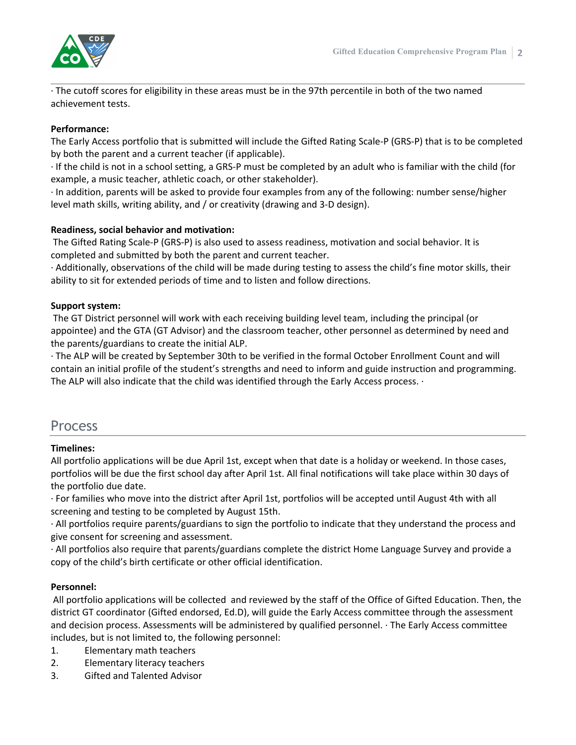

· The cutoff scores for eligibility in these areas must be in the 97th percentile in both of the two named achievement tests.

#### **Performance:**

The Early Access portfolio that is submitted will include the Gifted Rating Scale-P (GRS-P) that is to be completed by both the parent and a current teacher (if applicable).

· If the child is not in a school setting, a GRS-P must be completed by an adult who is familiar with the child (for example, a music teacher, athletic coach, or other stakeholder).

· In addition, parents will be asked to provide four examples from any of the following: number sense/higher level math skills, writing ability, and / or creativity (drawing and 3-D design).

#### **Readiness, social behavior and motivation:**

The Gifted Rating Scale-P (GRS-P) is also used to assess readiness, motivation and social behavior. It is completed and submitted by both the parent and current teacher.

· Additionally, observations of the child will be made during testing to assess the child's fine motor skills, their ability to sit for extended periods of time and to listen and follow directions.

#### **Support system:**

The GT District personnel will work with each receiving building level team, including the principal (or appointee) and the GTA (GT Advisor) and the classroom teacher, other personnel as determined by need and the parents/guardians to create the initial ALP.

· The ALP will be created by September 30th to be verified in the formal October Enrollment Count and will contain an initial profile of the student's strengths and need to inform and guide instruction and programming. The ALP will also indicate that the child was identified through the Early Access process. ·

## Process

## **Timelines:**

All portfolio applications will be due April 1st, except when that date is a holiday or weekend. In those cases, portfolios will be due the first school day after April 1st. All final notifications will take place within 30 days of the portfolio due date.

· For families who move into the district after April 1st, portfolios will be accepted until August 4th with all screening and testing to be completed by August 15th.

· All portfolios require parents/guardians to sign the portfolio to indicate that they understand the process and give consent for screening and assessment.

· All portfolios also require that parents/guardians complete the district Home Language Survey and provide a copy of the child's birth certificate or other official identification.

## **Personnel:**

All portfolio applications will be collected and reviewed by the staff of the Office of Gifted Education. Then, the district GT coordinator (Gifted endorsed, Ed.D), will guide the Early Access committee through the assessment and decision process. Assessments will be administered by qualified personnel. · The Early Access committee includes, but is not limited to, the following personnel:

- 1. Elementary math teachers
- 2. Elementary literacy teachers
- 3. Gifted and Talented Advisor